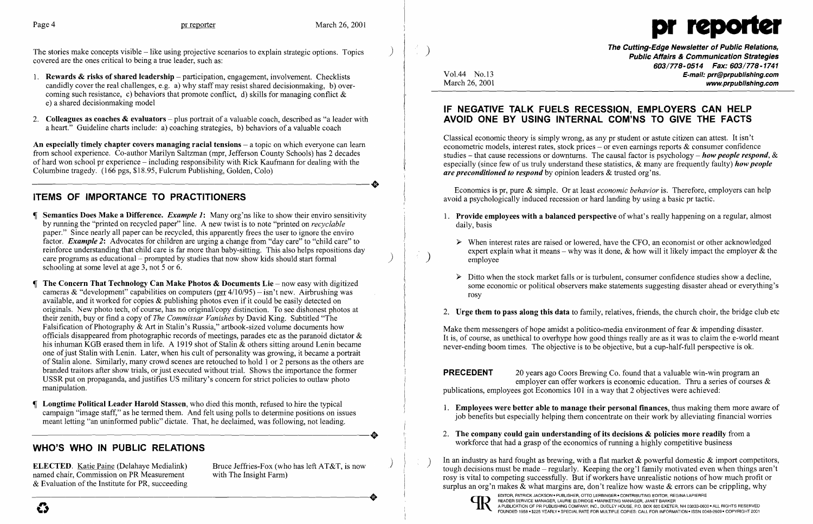The stories make concepts visible  $-$  like using projective scenarios to explain strategic options. Topics covered are the ones critical to being a true leader, such as:

- 1. Rewards & risks of shared leadership  $-$  participation, engagement, involvement. Checklists candidly cover the real challenges, e.g. a) why staff may resist shared decisionmaking, b) over coming such resistance, c) behaviors that promote conflict, d) skills for managing conflict & e) a shared decisionmaking model
- 2. Colleagues as coaches & evaluators  $-\rho$  plus portrait of a valuable coach, described as "a leader with a heart." Guideline charts include: a) coaching strategies, b) behaviors of a valuable coach

An especially timely chapter covers managing racial tensions  $-$  a topic on which everyone can learn from school experience. Co-author Marilyn Saltzman (mpr, Jefferson County Schools) has 2 decades of hard won school pr experience – including responsibility with Rick Kaufmann for dealing with the Columbine tragedy. (166 pgs, \$18.95, Fulcrum Publishing, Golden, Colo) Columbine tragedy. (166 pgs, \$18.95, Fulcrum Publishing, Golden, Colo)

# ITEMS OF IMPORTANCE TO PRACTITIONERS

The Cutting-Edge Newsletter of Public Relations, ) Public Affairs & Communication Strategies 603/778-0514 Fax: 603/778-1741 Vol.44 No.13 E-mail: prr@prpublishing.com March 26, 2001 www.prpublishing.com

1. Provide employees with a balanced perspective of what's really happening on a regular, almost

 $\triangleright$  When interest rates are raised or lowered, have the CFO, an economist or other acknowledged

- Semantics Does Make a Difference. *Example* 1: Many org'ns like to show their enviro sensitivity by running the "printed on recycled paper" line. A new twist is to note "printed on *recyclable*  paper." Since nearly all paper can be recycled, this apparently frees the user to ignore the enviro factor. *Example* 2: Advocates for children are urging a change from "day care" to "child care" to reinforce understanding that child care is far more than baby-sitting. This also helps repositions day care programs as educational – prompted by studies that now show kids should start formal schooling at some level at age 3, not 5 or 6.
- The Concern That Technology Can Make Photos  $\&$  Documents Lie now easy with digitized cameras & "development" capabilities on computers ( $\frac{\text{pr}}{\text{pr}}$  4/10/95) - isn't new. Airbrushing was available, and it worked for copies & publishing photos even if it could be easily detected on originals. New photo tech, of course, has no original/copy distinction. To see dishonest photos at their zenith, buy or find a copy of *The Commissar Vanishes* by David King. Subtitled "The Falsification of Photography & Art in Stalin's Russia," artbook-sized volume documents how officials disappeared from photographic records of meetings, parades etc as the paranoid dictator & his inhuman KGB erased them in life. A 1919 shot of Stalin & others sitting around Lenin became one of just Stalin with Lenin. Later, when his cult of personality was growing, it became a portrait of Stalin alone. Similarly, many crowd scenes are retouched to hold 1 or 2 persons as the others are branded traitors after show trials, or just executed without trial. Shows the importance the former USSR put on propaganda, and justifies US military's concern for strict policies to outlaw photo manipulation.
- Longtime Political Leader Harold Stassen, who died this month, refused to hire the typical campaign "image staff," as he termed them. And felt using polls to determine positions on issues meant letting "an uninformed public" dictate. That, he declaimed, was following, not leading. meant letting "an uninformed public" dictate. That, he declaimed, was following, not leading.

 $\triangleright$  Ditto when the stock market falls or is turbulent, consumer confidence studies show a decline, some economic or political observers make statements suggesting disaster ahead or everything's

Make them messengers of hope amidst a politico-media environment of fear  $\&$  impending disaster. It is, of course, as unethical to overhype how good things really are as it was to claim the e-world meant never-ending boom times. The objective is to be objective, but a cup-half-full perspective is ok.

**PRECEDENT** 20 years ago Coors Brewing Co. found that a valuable win-win program an employer can offer workers is economic education. Thru a series of courses & publications, employees got Economics 101 in a way that 2 objectives were achieved:

- 
- 2. The company could gain understanding of its decisions  $\&$  policies more readily from a workforce that had a grasp of the economics of running a highly competitive business

1. Employees were better able to manage their personal finances, thus making them more aware of job benefits but especially helping them concentrate on their work by alleviating financial worries

In an industry as hard fought as brewing, with a flat market  $\&$  powerful domestic  $\&$  import competitors, tough decisions must be made – regularly. Keeping the org'l family motivated even when things aren't rosy is vital to competing successfully. But if workers have unrealistic notions of how much profit or surplus an org'n makes & what margins are, don't realize how waste & errors can be crippling, why

# WHO'S WHO IN PUBLIC RELATIONS

ELECTED. Katie Paine (Delahaye Medialink) Bruce Jeffries-Fox (who has left AT&T, is now named chair, Commission on PR Measurement with The Insight Farm) named chair, Commission on PR Measurement & Evaluation of the Institute for PR, succeeding named chair, Commission on PR Measurement with The Insight Farm)<br>& Evaluation of the Institute for PR, succeeding

 $\mathcal{L}_{\rm{max}}$ 





#### IF NEGATIVE TALK FUELS RECESSION, EMPLOYERS CAN HELP AVOID ONE BY USING INTERNAL COM'NS TO GIVE THE FACTS

Classical economic theory is simply wrong, as any pr student or astute citizen can attest. It isn't econometric models, interest rates, stock prices – or even earnings reports  $\&$  consumer confidence studies - that cause recessions or downturns. The causal factor is psychology - *how people respond,* & especially (since few of us truly understand these statistics, & many are frequently faulty) *how people are preconditioned to respond* by opinion leaders & trusted org'ns.

Economics is pr, pure & simple. Or at least *economic behavior* is. Therefore, employers can help avoid a psychologically induced recession or hard landing by using a basic pr tactic.

- daily, basis
	- expert explain what it means why was it done,  $\&$  how will it likely impact the employer  $\&$  the employee
	- rosy

2. Urge them to pass along this data to family, relatives, friends, the church choir, the bridge club etc



I,